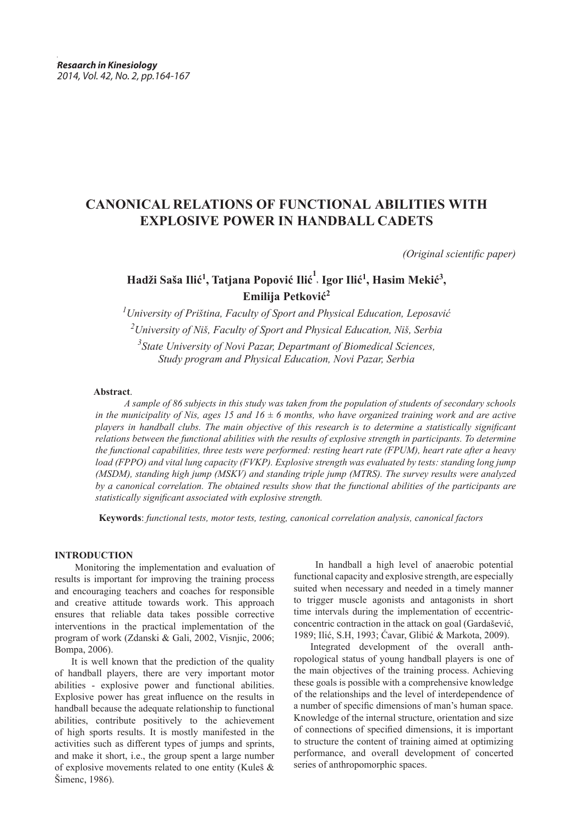# **CANONICAL RELATIONS OF FUNCTIONAL ABILITIES WITH EXPLOSIVE POWER IN HANDBALL CADETS**

*(Original scientific paper)*

# **Hadži Saša Ilić<sup>1</sup> , Tatjana Popović Ilić<sup>1</sup> , Igor Ilić<sup>1</sup> , Hasim Mekić3 , Emilija Petković<sup>2</sup>**

 *University of Priština, Faculty of Sport and Physical Education, Leposavić University of Niš, Faculty of Sport and Physical Education, Niš, Serbia State University of Novi Pazar, Departmant of Biomedical Sciences, Study program and Physical Education, Novi Pazar, Serbia*

## **Abstract**.

*A sample of 86 subjects in this study was taken from the population of students of secondary schools in the municipality of Nis, ages 15 and 16*  $\pm$  6 months, who have organized training work and are active *players in handball clubs. The main objective of this research is to determine a statistically significant relations between the functional abilities with the results of explosive strength in participants. To determine the functional capabilities, three tests were performed: resting heart rate (FPUM), heart rate after a heavy load (FPPO) and vital lung capacity (FVKP). Explosive strength was evaluated by tests: standing long jump (MSDM), standing high jump (MSKV) and standing triple jump (MTRS). The survey results were analyzed by a canonical correlation. The obtained results show that the functional abilities of the participants are statistically significant associated with explosive strength.*

 **Keywords**: *functional tests, motor tests, testing, canonical correlation analysis, canonical factors*

# **INTRODUCTION**

 Monitoring the implementation and evaluation of results is important for improving the training process and encouraging teachers and coaches for responsible and creative attitude towards work. This approach ensures that reliable data takes possible corrective interventions in the practical implementation of the program of work (Zdanski & Gali, 2002, Visnjic, 2006; Bompa, 2006).

It is well known that the prediction of the quality of handball players, there are very important motor abilities - explosive power and functional abilities. Explosive power has great influence on the results in handball because the adequate relationship to functional abilities, contribute positively to the achievement of high sports results. It is mostly manifested in the activities such as different types of jumps and sprints, and make it short, i.e., the group spent a large number of explosive movements related to one entity (Kuleš & Šimenc, 1986).

 In handball a high level of anaerobic potential functional capacity and explosive strength, are especially suited when necessary and needed in a timely manner to trigger muscle agonists and antagonists in short time intervals during the implementation of eccentricconcentric contraction in the attack on goal (Gardašević, 1989; Ilić, S.H, 1993; Ćavar, Glibić & Markota, 2009).

Integrated development of the overall anthropological status of young handball players is one of the main objectives of the training process. Achieving these goals is possible with a comprehensive knowledge of the relationships and the level of interdependence of a number of specific dimensions of man's human space. Knowledge of the internal structure, orientation and size of connections of specified dimensions, it is important to structure the content of training aimed at optimizing performance, and overall development of concerted series of anthropomorphic spaces.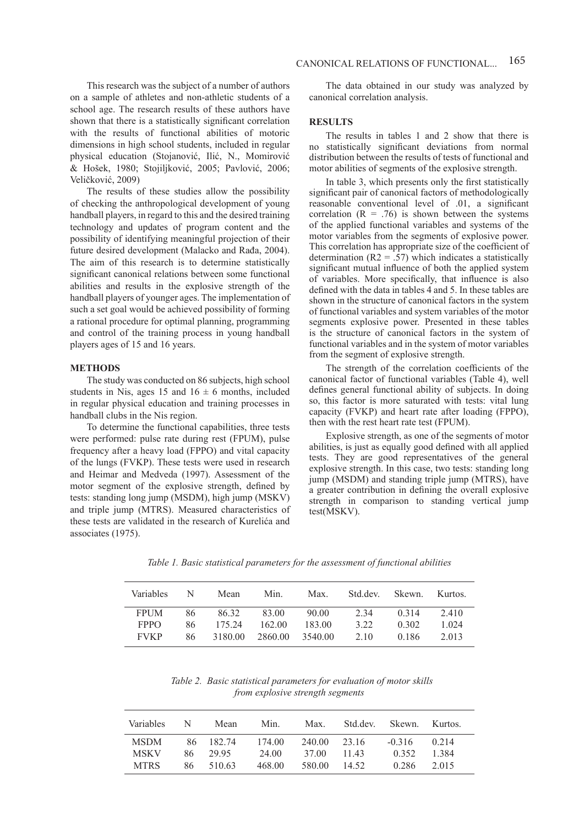This research was the subject of a number of authors on a sample of athletes and non-athletic students of a school age. The research results of these authors have shown that there is a statistically significant correlation with the results of functional abilities of motoric dimensions in high school students, included in regular physical education (Stojanović, Ilić, N., Momirović & Hošek, 1980; Stojiljković, 2005; Pavlović, 2006; Veličković, 2009)

The results of these studies allow the possibility of checking the anthropological development of young handball players, in regard to this and the desired training technology and updates of program content and the possibility of identifying meaningful projection of their future desired development (Malacko and Rađa, 2004). The aim of this research is to determine statistically significant canonical relations between some functional abilities and results in the explosive strength of the handball players of younger ages. The implementation of such a set goal would be achieved possibility of forming a rational procedure for optimal planning, programming and control of the training process in young handball players ages of 15 and 16 years.

#### **METHODS**

The study was conducted on 86 subjects, high school students in Nis, ages 15 and  $16 \pm 6$  months, included in regular physical education and training processes in handball clubs in the Nis region.

To determine the functional capabilities, three tests were performed: pulse rate during rest (FPUM), pulse frequency after a heavy load (FPPO) and vital capacity of the lungs (FVKP). These tests were used in research and Heimar and Medveda (1997). Assessment of the motor segment of the explosive strength, defined by tests: standing long jump (MSDM), high jump (MSKV) and triple jump (MTRS). Measured characteristics of these tests are validated in the research of Kurelića and associates (1975).

The data obtained in our study was analyzed by canonical correlation analysis.

### **RESULTS**

The results in tables 1 and 2 show that there is no statistically significant deviations from normal distribution between the results of tests of functional and motor abilities of segments of the explosive strength.

In table 3, which presents only the first statistically significant pair of canonical factors of methodologically reasonable conventional level of .01, a significant correlation  $(R = .76)$  is shown between the systems of the applied functional variables and systems of the motor variables from the segments of explosive power. This correlation has appropriate size of the coefficient of determination ( $R2 = .57$ ) which indicates a statistically significant mutual influence of both the applied system of variables. More specifically, that influence is also defined with the data in tables 4 and 5. In these tables are shown in the structure of canonical factors in the system of functional variables and system variables of the motor segments explosive power. Presented in these tables is the structure of canonical factors in the system of functional variables and in the system of motor variables from the segment of explosive strength.

The strength of the correlation coefficients of the canonical factor of functional variables (Table 4), well defines general functional ability of subjects. In doing so, this factor is more saturated with tests: vital lung capacity (FVKP) and heart rate after loading (FPPO), then with the rest heart rate test (FPUM).

Explosive strength, as one of the segments of motor abilities, is just as equally good defined with all applied tests. They are good representatives of the general explosive strength. In this case, two tests: standing long jump (MSDM) and standing triple jump (MTRS), have a greater contribution in defining the overall explosive strength in comparison to standing vertical jump test(MSKV).

*Table 1. Basic statistical parameters for the assessment of functional abilities* 

| Variables   | N   | Mean    | Min.    | Max.    | Std.dev. | Skewn. | Kurtos. |
|-------------|-----|---------|---------|---------|----------|--------|---------|
| <b>FPUM</b> | 86  | 86 32   | 83.00   | 90.00   | 2.34     | 0.314  | 2.410   |
| <b>FPPO</b> | 86  | 175 24  | 162.00  | 183.00  | 3.22     | 0.302  | 1 0 2 4 |
| <b>FVKP</b> | 86. | 3180.00 | 2860.00 | 3540.00 | 2.10     | 0.186  | 2013    |

 *Table 2. Basic statistical parameters for evaluation of motor skills from explosive strength segments*

| Variables   | N   | Mean      | Min.   | Max.   | Std dev | Skewn. Kurtos. |         |
|-------------|-----|-----------|--------|--------|---------|----------------|---------|
| <b>MSDM</b> |     | 86 182.74 | 174.00 | 240.00 | 23.16   | $-0.316$       | 0.214   |
| <b>MSKV</b> | 86. | 29.95     | 24.00  | 37.00  | 11.43   | 0.352          | 1 3 8 4 |
| <b>MTRS</b> | 86. | 510.63    | 468.00 | 580.00 | 14.52   | 0.286          | 2015    |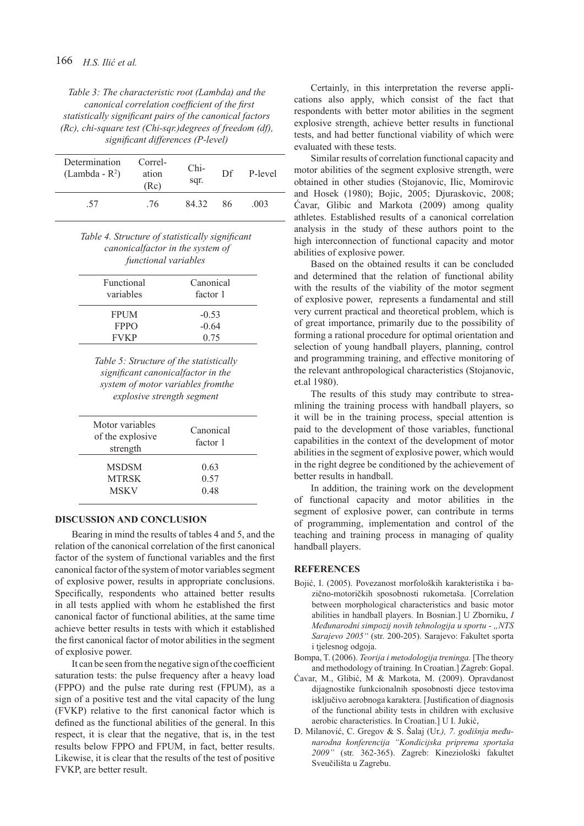*Table 3: The characteristic root (Lambda) and the canonical correlation coefficient of the first statistically significant pairs of the canonical factors (Rc), chi-square test (Chi-sqr.)degrees of freedom (df), significant differences (P-level)*

| Determination<br>$(Lambda - R^2)$ | Correl-<br>ation<br>(Rc) | Chi-<br>sqr. | Df. | P-level |
|-----------------------------------|--------------------------|--------------|-----|---------|
| .57                               | .76                      | 84 32        | 86  | .003    |

# *Table 4. Structure of statistically significant canonicalfactor in the system of functional variables*

| Functional<br>variables | Canonical<br>factor 1 |
|-------------------------|-----------------------|
| <b>FPUM</b>             | $-0.53$               |
| FPPO                    | $-0.64$               |
| <b>FVKP</b>             | 0.75                  |

*Table 5: Structure of the statistically significant canonicalfactor in the system of motor variables fromthe explosive strength segment*

| Motor variables<br>of the explosive<br>strength | Canonical<br>factor 1 |  |
|-------------------------------------------------|-----------------------|--|
| <b>MSDSM</b>                                    | 0.63                  |  |
| <b>MTRSK</b>                                    | 0.57                  |  |
| <b>MSKV</b>                                     | 0.48                  |  |

### **DISCUSSION AND CONCLUSION**

Bearing in mind the results of tables 4 and 5, and the relation of the canonical correlation of the first canonical factor of the system of functional variables and the first canonical factor of the system of motor variables segment of explosive power, results in appropriate conclusions. Specifically, respondents who attained better results in all tests applied with whom he established the first canonical factor of functional abilities, at the same time achieve better results in tests with which it established the first canonical factor of motor abilities in the segment of explosive power.

It can be seen from the negative sign of the coefficient saturation tests: the pulse frequency after a heavy load (FPPO) and the pulse rate during rest (FPUM), as a sign of a positive test and the vital capacity of the lung (FVKP) relative to the first canonical factor which is defined as the functional abilities of the general. In this respect, it is clear that the negative, that is, in the test results below FPPO and FPUM, in fact, better results. Likewise, it is clear that the results of the test of positive FVKP, are better result.

Certainly, in this interpretation the reverse applications also apply, which consist of the fact that respondents with better motor abilities in the segment explosive strength, achieve better results in functional tests, and had better functional viability of which were evaluated with these tests.

Similar results of correlation functional capacity and motor abilities of the segment explosive strength, were obtained in other studies (Stojanovic, Ilic, Momirovic and Hosek (1980); Bojic, 2005; Djuraskovic, 2008; Ćavar, Glibic and Markota (2009) among quality athletes. Established results of a canonical correlation analysis in the study of these authors point to the high interconnection of functional capacity and motor abilities of explosive power.

Based on the obtained results it can be concluded and determined that the relation of functional ability with the results of the viability of the motor segment of explosive power, represents a fundamental and still very current practical and theoretical problem, which is of great importance, primarily due to the possibility of forming a rational procedure for optimal orientation and selection of young handball players, planning, control and programming training, and effective monitoring of the relevant anthropological characteristics (Stojanovic, et.al 1980).

The results of this study may contribute to streamlining the training process with handball players, so it will be in the training process, special attention is paid to the development of those variables, functional capabilities in the context of the development of motor abilities in the segment of explosive power, which would in the right degree be conditioned by the achievement of better results in handball.

In addition, the training work on the development of functional capacity and motor abilities in the segment of explosive power, can contribute in terms of programming, implementation and control of the teaching and training process in managing of quality handball players.

## **REFERENCES**

- Bojić, I. (2005). Povezanost morfoloških karakteristika i bazično-motoričkih sposobnosti rukometaša. [Correlation between morphological characteristics and basic motor abilities in handball players. In Bosnian.] U Zborniku, *I Međunarodni simpozij novih tehnologija u sportu - "NTS Sarajevo 2005"* (str. 200-205). Sarajevo: Fakultet sporta i tjelesnog odgoja.
- Bompa, T. (2006). *Teorija i metodologija treninga.* [The theory and methodology of training. In Croatian.] Zagreb: Gopal.
- Ćavar, M., Glibić, M & Markota, M. (2009). Opravdanost dijagnostike funkcionalnih sposobnosti djece testovima isključivo aerobnoga karaktera. [Justification of diagnosis of the functional ability tests in children with exclusive aerobic characteristics. In Croatian.] U I. Jukić,
- D. Milanović, C. Gregov & S. Šalaj (Ur.*), 7. godišnja međunarodna konferencija "Kondicijska priprema sportaša 2009"* (str. 362-365). Zagreb: Kineziološki fakultet Sveučilišta u Zagrebu.